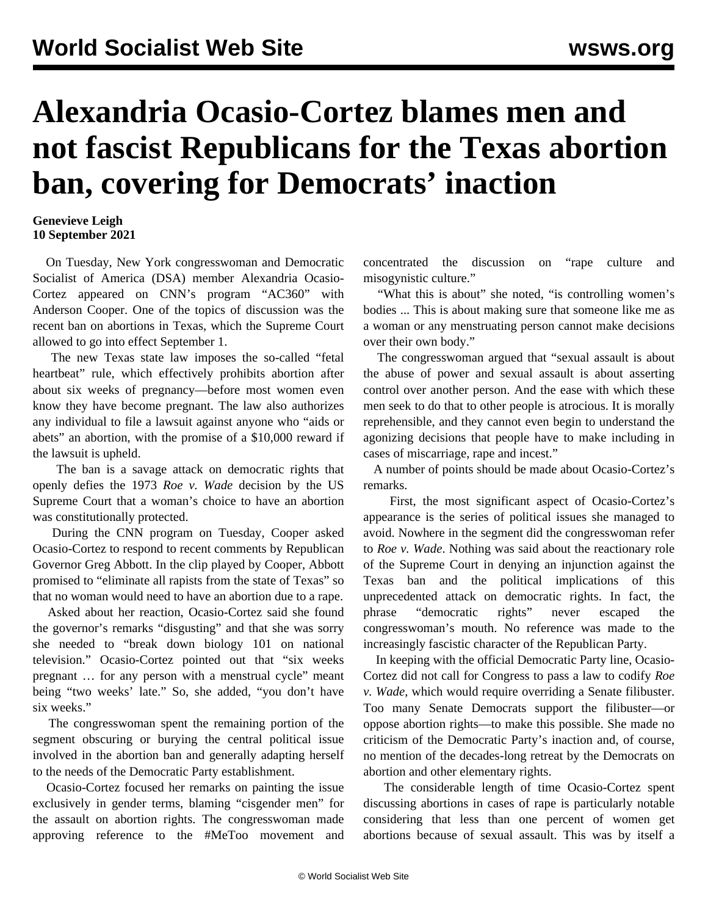## **Alexandria Ocasio-Cortez blames men and not fascist Republicans for the Texas abortion ban, covering for Democrats' inaction**

## **Genevieve Leigh 10 September 2021**

 On Tuesday, New York congresswoman and Democratic Socialist of America (DSA) member Alexandria Ocasio-Cortez appeared on CNN's program "AC360" with Anderson Cooper. One of the topics of discussion was the recent ban on abortions in Texas, which the Supreme Court allowed to go into effect September 1.

 The new Texas state law imposes the so-called "fetal heartbeat" rule, which effectively prohibits abortion after about six weeks of pregnancy—before most women even know they have become pregnant. The law also authorizes any individual to file a lawsuit against anyone who "aids or abets" an abortion, with the promise of a \$10,000 reward if the lawsuit is upheld.

 The ban is a savage attack on democratic rights that openly defies the 1973 *Roe v. Wade* decision by the US Supreme Court that a woman's choice to have an abortion was constitutionally protected.

 During the CNN program on Tuesday, Cooper asked Ocasio-Cortez to respond to recent comments by Republican Governor Greg Abbott. In the clip played by Cooper, Abbott promised to "eliminate all rapists from the state of Texas" so that no woman would need to have an abortion due to a rape.

 Asked about her reaction, Ocasio-Cortez said she found the governor's remarks "disgusting" and that she was sorry she needed to "break down biology 101 on national television." Ocasio-Cortez pointed out that "six weeks pregnant … for any person with a menstrual cycle" meant being "two weeks' late." So, she added, "you don't have six weeks."

 The congresswoman spent the remaining portion of the segment obscuring or burying the central political issue involved in the abortion ban and generally adapting herself to the needs of the Democratic Party establishment.

 Ocasio-Cortez focused her remarks on painting the issue exclusively in gender terms, blaming "cisgender men" for the assault on abortion rights. The congresswoman made approving reference to the #MeToo movement and concentrated the discussion on "rape culture and misogynistic culture."

 "What this is about" she noted, "is controlling women's bodies ... This is about making sure that someone like me as a woman or any menstruating person cannot make decisions over their own body."

 The congresswoman argued that "sexual assault is about the abuse of power and sexual assault is about asserting control over another person. And the ease with which these men seek to do that to other people is atrocious. It is morally reprehensible, and they cannot even begin to understand the agonizing decisions that people have to make including in cases of miscarriage, rape and incest."

 A number of points should be made about Ocasio-Cortez's remarks.

 First, the most significant aspect of Ocasio-Cortez's appearance is the series of political issues she managed to avoid. Nowhere in the segment did the congresswoman refer to *Roe v. Wade*. Nothing was said about the reactionary role of the Supreme Court in denying an injunction against the Texas ban and the political implications of this unprecedented attack on democratic rights. In fact, the phrase "democratic rights" never escaped the congresswoman's mouth. No reference was made to the increasingly fascistic character of the Republican Party.

 In keeping with the official Democratic Party line, Ocasio-Cortez did not call for Congress to pass a law to codify *Roe v. Wade*, which would require overriding a Senate filibuster. Too many Senate Democrats support the filibuster—or oppose abortion rights—to make this possible. She made no criticism of the Democratic Party's inaction and, of course, no mention of the decades-long retreat by the Democrats on abortion and other elementary rights.

 The considerable length of time Ocasio-Cortez spent discussing abortions in cases of rape is particularly notable considering that less than one percent of women get abortions because of sexual assault. This was by itself a